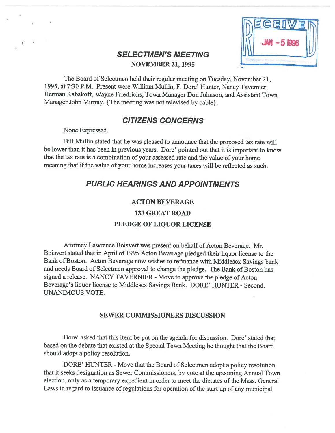

# SELECTMEN'S MEETING NOVEMBER 21, 1995

The Board of Selectmen held their regular meeting on Tuesday, November 21, 1995, at 7:30 P.M. Present were William Mullin, F. Dore' Hunter, Nancy Tavernier, Herman Kabakoff, Wayne friedrichs, Town Manager Don Johnson, and Assistant Town Manager John Murray. {The meeting was not televised by cable}.

# CITIZENS CONCERNS

None Expressed.

Bill Mullin stated that he was <sup>p</sup>leased to announce that the propose<sup>d</sup> tax rate will be lower than it has been in previous years. Dore' pointed out that it is important to know that the tax rate is <sup>a</sup> combination of your assessed rate and the value of your home meaning that if the value of your home increases your taxes will be reflected as such.

# PUBLIC HEARINGS AND APPOINTMENTS

### ACTON BEVERAGE

133 GREAT ROAD

# PLEDGE OF LIQUOR LICENSE

Attorney Lawrence Boisvert was presen<sup>t</sup> on behalf of Acton Beverage. Mr. Boisvert stated that in April of <sup>1995</sup> Acton Beverage <sup>p</sup>ledged their liquor license to the Bank of Boston. Acton Beverage now wishes to refinance with Middlesex Savings bank and needs Board of Selectmen approva<sup>l</sup> to change the <sup>p</sup>ledge. The Bank of Boston has signed a release. NANCY TAVERNIER - Move to approve the pledge of Acton Beverage's liquor license to Middlesex Savings Bank. DORE' HUNTER - Second. UNANIMOUS VOTE.

# SEWER COMMISSIONERS DISCUSSION

Dore' asked that this item be pu<sup>t</sup> on the agenda for discussion. Dore' stated that based on the debate that existed at the Special Town Meeting he thought that the Board should adopt <sup>a</sup> policy resolution.

DORE' HUNTER - Move that the Board of Selectmen adopt a policy resolution that it seeks designation as Sewer Commissioners, by vote at the upcoming Annual Town election, only as <sup>a</sup> temporary expedient in order to meet the dictates of the Mass. General Laws in regard to issuance of regulations for operation of the start up of any municipal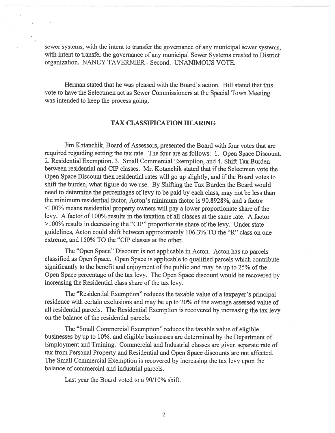sewer systems, with the intent to transfer the governance of any municipal sewer systems, with intent to transfer the governance of any municipal Sewer Systems created to District organization. NANCY TAVERNIER - Second. UNANIMOUS VOTE.

Herman stated that he was pleased with the Board's action. Bill stated that this vote to have the Selectmen act as Sewer Commissioners at the Special Town Meeting was intended to keep the process going.

### TAX CLASSIFICATION HEARING

Jim Kotanchik, Board of Assessors, presented the Board with four votes that are required regarding setting the tax rate. The four are as follows: 1. Open Space Discount. 2. Residential Exemption. 3. Small Commercial Exemption, and 4. Shift Tax Burden between residential and CIP classes. Mr. Kotanchik stated that if the Selectmen vote the Open Space Discount then residential rates will go up slightly, and if the Board votes to shift the burden, what figure do we use. By Shifting the Tax Burden the Board would need to determine the percentages of levy to be paid by each class, may not be less than the minimum residential factor, Acton's minimum factor is 90.8928%, and <sup>a</sup> factor  $\leq$ 100% means residential property owners will pay a lower proportionate share of the levy. A factor of 100% results in the taxation of all classes at the same rate. A factor  $>100\%$  results in decreasing the "CIP" proportionate share of the levy. Under state guidelines, Acton could shift between approximately 106.3% TO the "R" class on one extreme, and 150% TO the "CIP classes at the other.

The "Open Space" Discount is not applicable in Acton. Acton has no parcels classified as Open Space. Open Space is applicable to qualified parcels which contribute significantly to the benefit and enjoyment of the public and may be up to 25% of the Open Space percentage of the tax levy. The Open Space discount would be recovered by increasing the Residential class share of the tax levy.

The "Residential Exemption" reduces the taxable value of <sup>a</sup> taxpayer's principal residence with certain exclusions and may be up to 20% of the average assessed value of all residential parcels. The Residential Exemption is recovered by increasing the tax levy on the balance of the residential parcels.

The "Small Commercial Exemption" reduces the taxable value of eligible businesses by up to 10%. and eligible businesses are determined by the Department of Employment and Training. Commercial and Industrial classes are <sup>g</sup>iven separate rate of tax from Personal Property and Residential and Open Space discounts are not affected. The Small Commercial Exemption is recovered by increasing the tax levy upon the balance of commercial and industrial parcels.

Last year the Board voted to <sup>a</sup> 90/10% shift.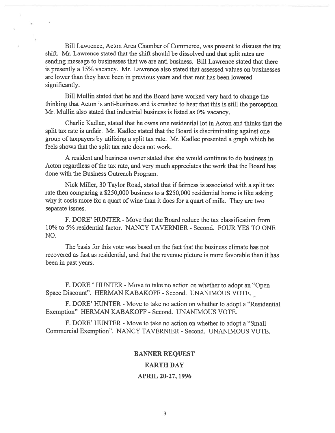Bill Lawrence, Acton Area Chamber of Commerce, was presen<sup>t</sup> to discuss the tax shift. Mr. Lawrence stated that the shift should be dissolved and that split rates are sending message to businesses that we are anti business. Bill Lawrence stated that there is presently <sup>a</sup> 15% vacancy. Mr. Lawrence also stated that assessed values on businesses are lower than they have been in previous years and that rent has been lowered significantly.

Bill Mullin stated that he and the Board have worked very hard to change the thinking that Acton is anti-business and is crushed to hear that this is still the perception Mr. Mullin also stated that industrial business is listed as 0% vacancy.

Charlie Kadlec, stated that he owns one residential lot in Acton and thinks that the split tax rate is unfair. Mr. Kadlec stated that the Board is discriminating against one group oftaxpayers by utilizing <sup>a</sup> split tax rate. Mr. Kadlec presented <sup>a</sup> graph which he feels shows that the split tax rate does not work.

A resident and business owner stated that she would continue to do business in Acton regardless of the tax rate, and very much appreciates the work that the Board has done with the Business Outreach Program.

Nick Miller, 30 Taylor Road, stated that if fairness is associated with a split tax rate then comparing <sup>a</sup> \$250,000 business to <sup>a</sup> \$250,000 residential home is like asking why it costs more for <sup>a</sup> quar<sup>t</sup> of wine than it does for <sup>a</sup> quar<sup>t</sup> of milk. They are two separate issues.

F. DORE' HUNTER - Move that the Board reduce the tax classification from 10% to 5% residential factor. NANCY TAVERNIER - Second. FOUR YES TO ONE NO.

The basis for this vote was based on the fact that the business climate has not recovered as fast as residential, and that the revenue picture is more favorable than it has been in pas<sup>t</sup> years.

F. DORE 'HUNTER - Move to take no action on whether to adopt an "Open" Space Discount". HERMAN KABAKOFF - Second. UNANIMOUS VOTE.

F. DORE' HUNTER - Move to take no action on whether to adopt a "Residential" Exemption" HERMAN KABAKOFF - Second. UNANIMOUS VOTE.

F. DORE' HUNTER - Move to take no action on whether to adopt a "Small" Commercial Exemption". NANCY TAVERNIER - Second. UNANIMOUS VOTE.

#### BANNER REQUEST

#### EARTH DAY

#### APRIL 20-27, 1996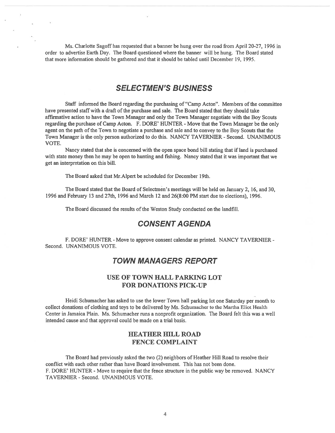Ms. Charlotte Sagoff has requested that <sup>a</sup> banner be hung over the road from April 20-27, 1996 in order to advertise Earth Day. The Board questioned where the banner will be hung. The Board stated that more information should be gathered and that it should be tabled until December 19, 1995.

# SELECTMEN'S BUSINESS

Staff informed the Board regarding the purchasing of "Camp Acton". Members of the committee have presented staff with a draft of the purchase and sale. The Board stated that they should take affirmative action to have the Town Manager and only the Town Manager negotiate with the Boy Scouts regarding the purchase of Camp Acton. F. DORE' HUNTER - Move that the Town Manager be the only agen<sup>t</sup> on the path of the Town to negotiate <sup>a</sup> purchase and sale and to convey to the Boy Scouts that the Town Manager is the only person authorized to do this. NANCY TAVERNIER - Second. UNANIMOUS VOTE.

Nancy stated that she is concerned with the open space bond bill stating that if land is purchased with state money then he may be open to hunting and fishing. Nancy stated that it was important that we ge<sup>t</sup> an interpretation on this bill.

The Board asked that Mr.Alpert be scheduled for December 19th.

The Board stated that the Board of Selectmen's meetings will be held on January 2, 16, and 30, 1996 and february 13 and 27th, 1996 and March 12 and 26(8:00 PM start due to elections), 1996.

The Board discussed the results of the Weston Study conducted on the landfill.

### CONSENT A GENDA

F. DORE' HUNTER - Move to approve consent calendar as printed. NANCY TAVERNIER -Second. UNANIMOUS VOTE.

# TOWN MANAGERS REPORT

# USE OF TOWN HALL PARKING LOT FOR DONATIONS PICK-UP

Heidi Schumacher has asked to use the lower Town hall parking lot one Saturday per month to collect donations of clothing and toys to be delivered by Ms. Schumacher to the Martha Eliot Health Center in Jamaica Plain. Ms. Schumacher runs <sup>a</sup> nonprofit organization. The Board felt this was <sup>a</sup> well intended cause and that approval could be made on <sup>a</sup> trial basis.

### HEATHER HILL ROAD FENCE COMPLAINT

The Board had previously asked the two (2) neighbors of Heather Hill Road to resolve their conflict with each other rather than have Board involvement. This has not been done. F. DORE' HUNTER - Move to require that the fence structure in the public way be removed. NANCY TAVERNIER - Second. UNANIMOUS VOTE.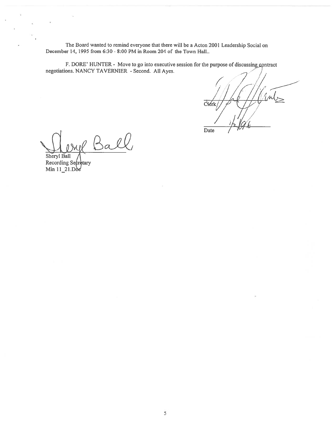The Board wanted to remind everyone that there will be <sup>a</sup> Acton 2001 Leadership Social on December 14, 1995 from 6:30 - 8:00 PM in Room 204 of the Town Hall..

F. DORE' HUNTER - Move to go into executive session for the purpose of discussing contract negotiations. NANCY TAVERNIER - Second. All Ayes.

Date

Ball

Sheryl Ball / Recording Se¢retary Min 11–21.Dòe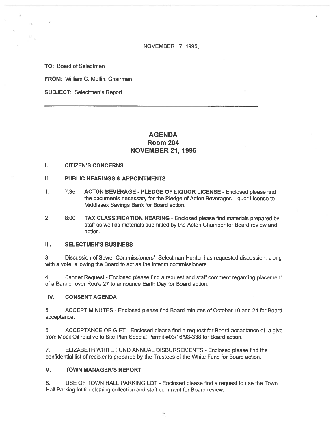NOVEMBER 17, 1995,

TO: Board of Selectmen

FROM: William C. Mullin, Chairman

SUBJECT: Selectmen's Report

# AGENDA Room 204 NOVEMBER 21, 1995

#### I. CITIZEN'S CONCERNS

- II. PUBLIC HEARINGS & APPOINTMENTS
- 1. 7:35 ACTON BEVERAGE PLEDGE OF LIQUOR LICENSE Enclosed please find the documents necessary for the Pledge of Acton Beverages Liquor License to Middlesex Savings Bank for Board action.
- 2. 8:00 TAX CLASSIFICATION HEARING Enclosed please find materials prepared by staff as well as materials submitted by the Acton Chamber for Board review and action.

#### III. SELECTMEN'S BUSINESS

3. Discussion of Sewer Commissioners'- Selectman Hunter has requested discussion, along with <sup>a</sup> vote, allowing the Board to act as the interim commissioners.

4. Banner Request - Enclosed please find <sup>a</sup> reques<sup>t</sup> and staff comment regarding placement of <sup>a</sup> Banner over Route 27 to announce Earth Day for Board action.

#### IV. CONSENT AGENDA

5. ACCEPT MINUTES -Enclosed please find Board minutes of October 10 and 24 for Board acceptance.

6. ACCEPTANCE OF GIFT -Enclosed please find <sup>a</sup> reques<sup>t</sup> for Board acceptance of <sup>a</sup> give from Mobil Oil relative to Site Plan Special Permit #03/16/93-338 for Board action.

7. ELIZABETH WHITE FUND ANNUAL DISBURSEMENTS - Enclosed please find the confidential list of recipients prepared by the Trustees of the White Fund for Board action.

#### V. TOWN MANAGER'S REPORT

8. USE OF TOWN HALL PARKING LOT -Enclosed please find <sup>a</sup> reques<sup>t</sup> to use the Town Hall Parking lot for clothing collection and staff comment for Board review.